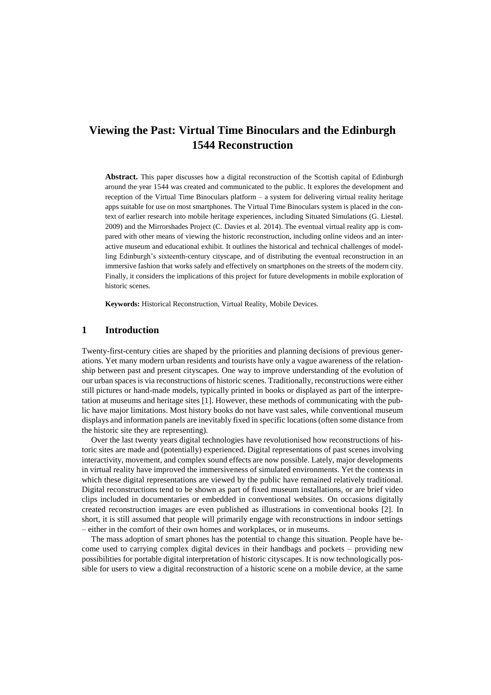# **Viewing the Past: Virtual Time Binoculars and the Edinburgh 1544 Reconstruction**

**Abstract.** This paper discusses how a digital reconstruction of the Scottish capital of Edinburgh around the year 1544 was created and communicated to the public. It explores the development and reception of the Virtual Time Binoculars platform – a system for delivering virtual reality heritage apps suitable for use on most smartphones. The Virtual Time Binoculars system is placed in the context of earlier research into mobile heritage experiences, including Situated Simulations (G. Liestøl. 2009) and the Mirrorshades Project (C. Davies et al. 2014). The eventual virtual reality app is compared with other means of viewing the historic reconstruction, including online videos and an interactive museum and educational exhibit. It outlines the historical and technical challenges of modelling Edinburgh's sixteenth-century cityscape, and of distributing the eventual reconstruction in an immersive fashion that works safely and effectively on smartphones on the streets of the modern city. Finally, it considers the implications of this project for future developments in mobile exploration of historic scenes.

**Keywords:** Historical Reconstruction, Virtual Reality, Mobile Devices.

## **1 Introduction**

Twenty-first-century cities are shaped by the priorities and planning decisions of previous generations. Yet many modern urban residents and tourists have only a vague awareness of the relationship between past and present cityscapes. One way to improve understanding of the evolution of our urban spaces is via reconstructions of historic scenes. Traditionally, reconstructions were either still pictures or hand-made models, typically printed in books or displayed as part of the interpretation at museums and heritage sites [1]. However, these methods of communicating with the public have major limitations. Most history books do not have vast sales, while conventional museum displays and information panels are inevitably fixed in specific locations (often some distance from the historic site they are representing).

Over the last twenty years digital technologies have revolutionised how reconstructions of historic sites are made and (potentially) experienced. Digital representations of past scenes involving interactivity, movement, and complex sound effects are now possible. Lately, major developments in virtual reality have improved the immersiveness of simulated environments. Yet the contexts in which these digital representations are viewed by the public have remained relatively traditional. Digital reconstructions tend to be shown as part of fixed museum installations, or are brief video clips included in documentaries or embedded in conventional websites. On occasions digitally created reconstruction images are even published as illustrations in conventional books [2]. In short, it is still assumed that people will primarily engage with reconstructions in indoor settings – either in the comfort of their own homes and workplaces, or in museums.

The mass adoption of smart phones has the potential to change this situation. People have become used to carrying complex digital devices in their handbags and pockets – providing new possibilities for portable digital interpretation of historic cityscapes. It is now technologically possible for users to view a digital reconstruction of a historic scene on a mobile device, at the same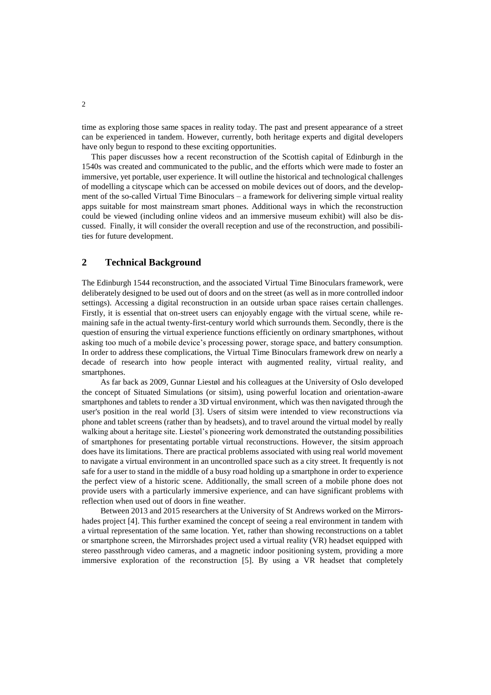time as exploring those same spaces in reality today. The past and present appearance of a street can be experienced in tandem. However, currently, both heritage experts and digital developers have only begun to respond to these exciting opportunities.

This paper discusses how a recent reconstruction of the Scottish capital of Edinburgh in the 1540s was created and communicated to the public, and the efforts which were made to foster an immersive, yet portable, user experience. It will outline the historical and technological challenges of modelling a cityscape which can be accessed on mobile devices out of doors, and the development of the so-called Virtual Time Binoculars – a framework for delivering simple virtual reality apps suitable for most mainstream smart phones. Additional ways in which the reconstruction could be viewed (including online videos and an immersive museum exhibit) will also be discussed. Finally, it will consider the overall reception and use of the reconstruction, and possibilities for future development.

## **2 Technical Background**

The Edinburgh 1544 reconstruction, and the associated Virtual Time Binoculars framework, were deliberately designed to be used out of doors and on the street (as well as in more controlled indoor settings). Accessing a digital reconstruction in an outside urban space raises certain challenges. Firstly, it is essential that on-street users can enjoyably engage with the virtual scene, while remaining safe in the actual twenty-first-century world which surrounds them. Secondly, there is the question of ensuring the virtual experience functions efficiently on ordinary smartphones, without asking too much of a mobile device's processing power, storage space, and battery consumption. In order to address these complications, the Virtual Time Binoculars framework drew on nearly a decade of research into how people interact with augmented reality, virtual reality, and smartphones.

As far back as 2009, Gunnar Liestøl and his colleagues at the University of Oslo developed the concept of Situated Simulations (or sitsim), using powerful location and orientation-aware smartphones and tablets to render a 3D virtual environment, which was then navigated through the user's position in the real world [3]. Users of sitsim were intended to view reconstructions via phone and tablet screens (rather than by headsets), and to travel around the virtual model by really walking about a heritage site. Liestøl's pioneering work demonstrated the outstanding possibilities of smartphones for presentating portable virtual reconstructions. However, the sitsim approach does have its limitations. There are practical problems associated with using real world movement to navigate a virtual environment in an uncontrolled space such as a city street. It frequently is not safe for a user to stand in the middle of a busy road holding up a smartphone in order to experience the perfect view of a historic scene. Additionally, the small screen of a mobile phone does not provide users with a particularly immersive experience, and can have significant problems with reflection when used out of doors in fine weather.

Between 2013 and 2015 researchers at the University of St Andrews worked on the Mirrorshades project [4]. This further examined the concept of seeing a real environment in tandem with a virtual representation of the same location. Yet, rather than showing reconstructions on a tablet or smartphone screen, the Mirrorshades project used a virtual reality (VR) headset equipped with stereo passthrough video cameras, and a magnetic indoor positioning system, providing a more immersive exploration of the reconstruction [5]. By using a VR headset that completely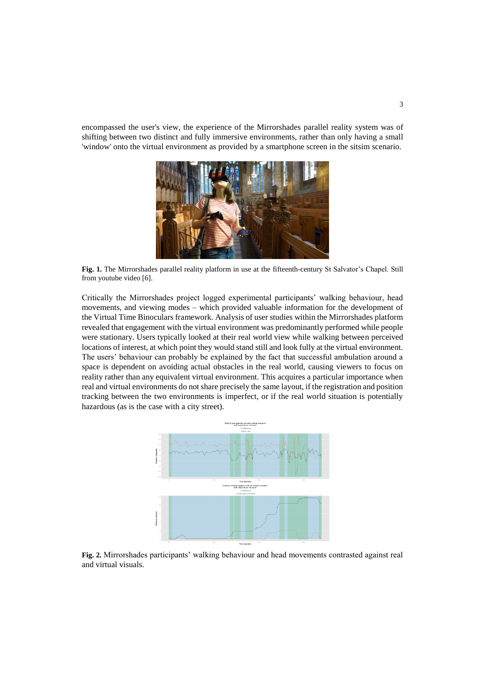encompassed the user's view, the experience of the Mirrorshades parallel reality system was of shifting between two distinct and fully immersive environments, rather than only having a small 'window' onto the virtual environment as provided by a smartphone screen in the sitsim scenario.



**Fig. 1.** The Mirrorshades parallel reality platform in use at the fifteenth-century St Salvator's Chapel. Still from youtube video [6].

Critically the Mirrorshades project logged experimental participants' walking behaviour, head movements, and viewing modes – which provided valuable information for the development of the Virtual Time Binoculars framework. Analysis of user studies within the Mirrorshades platform revealed that engagement with the virtual environment was predominantly performed while people were stationary. Users typically looked at their real world view while walking between perceived locations of interest, at which point they would stand still and look fully at the virtual environment. The users' behaviour can probably be explained by the fact that successful ambulation around a space is dependent on avoiding actual obstacles in the real world, causing viewers to focus on reality rather than any equivalent virtual environment. This acquires a particular importance when real and virtual environments do not share precisely the same layout, if the registration and position tracking between the two environments is imperfect, or if the real world situation is potentially hazardous (as is the case with a city street).



**Fig. 2.** Mirrorshades participants' walking behaviour and head movements contrasted against real and virtual visuals.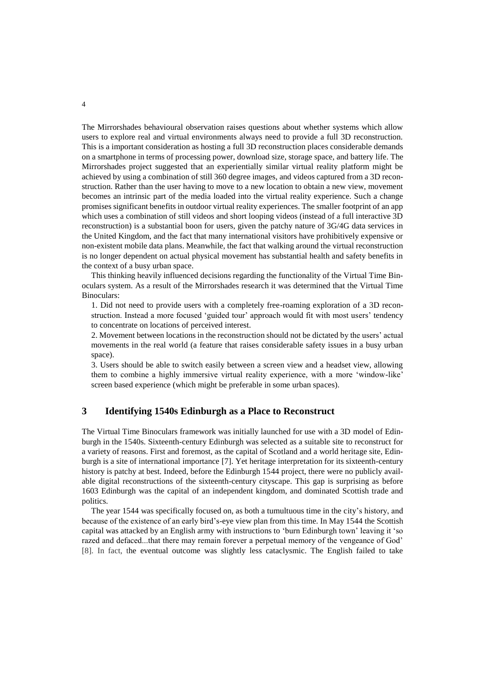The Mirrorshades behavioural observation raises questions about whether systems which allow users to explore real and virtual environments always need to provide a full 3D reconstruction. This is a important consideration as hosting a full 3D reconstruction places considerable demands on a smartphone in terms of processing power, download size, storage space, and battery life. The Mirrorshades project suggested that an experientially similar virtual reality platform might be achieved by using a combination of still 360 degree images, and videos captured from a 3D reconstruction. Rather than the user having to move to a new location to obtain a new view, movement becomes an intrinsic part of the media loaded into the virtual reality experience. Such a change promises significant benefits in outdoor virtual reality experiences. The smaller footprint of an app which uses a combination of still videos and short looping videos (instead of a full interactive 3D reconstruction) is a substantial boon for users, given the patchy nature of 3G/4G data services in the United Kingdom, and the fact that many international visitors have prohibitively expensive or non-existent mobile data plans. Meanwhile, the fact that walking around the virtual reconstruction is no longer dependent on actual physical movement has substantial health and safety benefits in the context of a busy urban space.

This thinking heavily influenced decisions regarding the functionality of the Virtual Time Binoculars system. As a result of the Mirrorshades research it was determined that the Virtual Time Binoculars:

1. Did not need to provide users with a completely free-roaming exploration of a 3D reconstruction. Instead a more focused 'guided tour' approach would fit with most users' tendency to concentrate on locations of perceived interest.

2. Movement between locations in the reconstruction should not be dictated by the users' actual movements in the real world (a feature that raises considerable safety issues in a busy urban space).

3. Users should be able to switch easily between a screen view and a headset view, allowing them to combine a highly immersive virtual reality experience, with a more 'window-like' screen based experience (which might be preferable in some urban spaces).

## **3 Identifying 1540s Edinburgh as a Place to Reconstruct**

The Virtual Time Binoculars framework was initially launched for use with a 3D model of Edinburgh in the 1540s. Sixteenth-century Edinburgh was selected as a suitable site to reconstruct for a variety of reasons. First and foremost, as the capital of Scotland and a world heritage site, Edinburgh is a site of international importance [7]. Yet heritage interpretation for its sixteenth-century history is patchy at best. Indeed, before the Edinburgh 1544 project, there were no publicly available digital reconstructions of the sixteenth-century cityscape. This gap is surprising as before 1603 Edinburgh was the capital of an independent kingdom, and dominated Scottish trade and politics.

The year 1544 was specifically focused on, as both a tumultuous time in the city's history, and because of the existence of an early bird's-eye view plan from this time. In May 1544 the Scottish capital was attacked by an English army with instructions to 'burn Edinburgh town' leaving it 'so razed and defaced...that there may remain forever a perpetual memory of the vengeance of God' [8]. In fact, the eventual outcome was slightly less cataclysmic. The English failed to take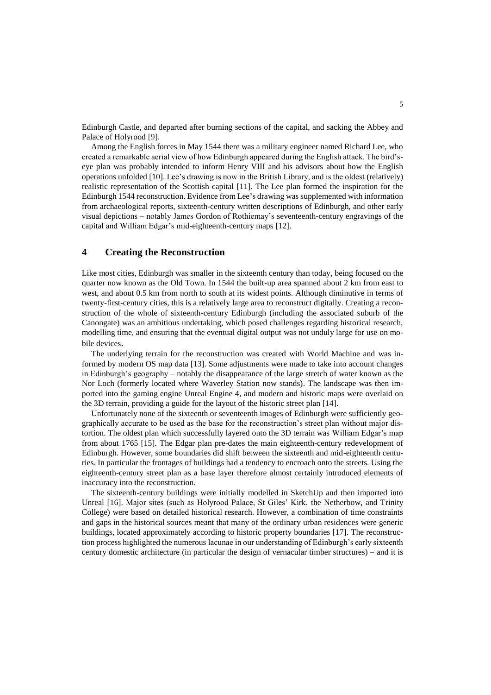Edinburgh Castle, and departed after burning sections of the capital, and sacking the Abbey and Palace of Holyrood [9].

Among the English forces in May 1544 there was a military engineer named Richard Lee, who created a remarkable aerial view of how Edinburgh appeared during the English attack. The bird'seye plan was probably intended to inform Henry VIII and his advisors about how the English operations unfolded [10]. Lee's drawing is now in the British Library, and is the oldest (relatively) realistic representation of the Scottish capital [11]. The Lee plan formed the inspiration for the Edinburgh 1544 reconstruction. Evidence from Lee's drawing was supplemented with information from archaeological reports, sixteenth-century written descriptions of Edinburgh, and other early visual depictions – notably James Gordon of Rothiemay's seventeenth-century engravings of the capital and William Edgar's mid-eighteenth-century maps [12].

## **4 Creating the Reconstruction**

Like most cities, Edinburgh was smaller in the sixteenth century than today, being focused on the quarter now known as the Old Town. In 1544 the built-up area spanned about 2 km from east to west, and about 0.5 km from north to south at its widest points. Although diminutive in terms of twenty-first-century cities, this is a relatively large area to reconstruct digitally. Creating a reconstruction of the whole of sixteenth-century Edinburgh (including the associated suburb of the Canongate) was an ambitious undertaking, which posed challenges regarding historical research, modelling time, and ensuring that the eventual digital output was not unduly large for use on mobile devices.

The underlying terrain for the reconstruction was created with World Machine and was informed by modern OS map data [13]. Some adjustments were made to take into account changes in Edinburgh's geography – notably the disappearance of the large stretch of water known as the Nor Loch (formerly located where Waverley Station now stands). The landscape was then imported into the gaming engine Unreal Engine 4, and modern and historic maps were overlaid on the 3D terrain, providing a guide for the layout of the historic street plan [14].

Unfortunately none of the sixteenth or seventeenth images of Edinburgh were sufficiently geographically accurate to be used as the base for the reconstruction's street plan without major distortion. The oldest plan which successfully layered onto the 3D terrain was William Edgar's map from about 1765 [15]. The Edgar plan pre-dates the main eighteenth-century redevelopment of Edinburgh. However, some boundaries did shift between the sixteenth and mid-eighteenth centuries. In particular the frontages of buildings had a tendency to encroach onto the streets. Using the eighteenth-century street plan as a base layer therefore almost certainly introduced elements of inaccuracy into the reconstruction.

The sixteenth-century buildings were initially modelled in SketchUp and then imported into Unreal [16]. Major sites (such as Holyrood Palace, St Giles' Kirk, the Netherbow, and Trinity College) were based on detailed historical research. However, a combination of time constraints and gaps in the historical sources meant that many of the ordinary urban residences were generic buildings, located approximately according to historic property boundaries [17]. The reconstruction process highlighted the numerous lacunae in our understanding of Edinburgh's early sixteenth century domestic architecture (in particular the design of vernacular timber structures) – and it is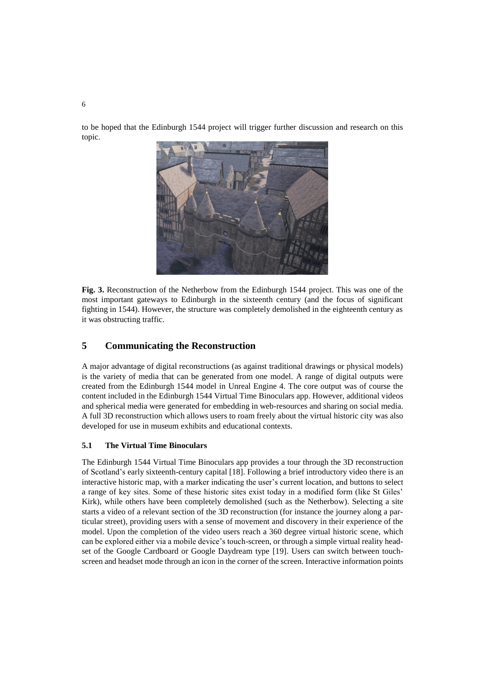to be hoped that the Edinburgh 1544 project will trigger further discussion and research on this topic.



**Fig. 3.** Reconstruction of the Netherbow from the Edinburgh 1544 project. This was one of the most important gateways to Edinburgh in the sixteenth century (and the focus of significant fighting in 1544). However, the structure was completely demolished in the eighteenth century as it was obstructing traffic.

# **5 Communicating the Reconstruction**

A major advantage of digital reconstructions (as against traditional drawings or physical models) is the variety of media that can be generated from one model. A range of digital outputs were created from the Edinburgh 1544 model in Unreal Engine 4. The core output was of course the content included in the Edinburgh 1544 Virtual Time Binoculars app. However, additional videos and spherical media were generated for embedding in web-resources and sharing on social media. A full 3D reconstruction which allows users to roam freely about the virtual historic city was also developed for use in museum exhibits and educational contexts.

#### **5.1 The Virtual Time Binoculars**

The Edinburgh 1544 Virtual Time Binoculars app provides a tour through the 3D reconstruction of Scotland's early sixteenth-century capital [18]. Following a brief introductory video there is an interactive historic map, with a marker indicating the user's current location, and buttons to select a range of key sites. Some of these historic sites exist today in a modified form (like St Giles' Kirk), while others have been completely demolished (such as the Netherbow). Selecting a site starts a video of a relevant section of the 3D reconstruction (for instance the journey along a particular street), providing users with a sense of movement and discovery in their experience of the model. Upon the completion of the video users reach a 360 degree virtual historic scene, which can be explored either via a mobile device's touch-screen, or through a simple virtual reality headset of the Google Cardboard or Google Daydream type [19]. Users can switch between touchscreen and headset mode through an icon in the corner of the screen. Interactive information points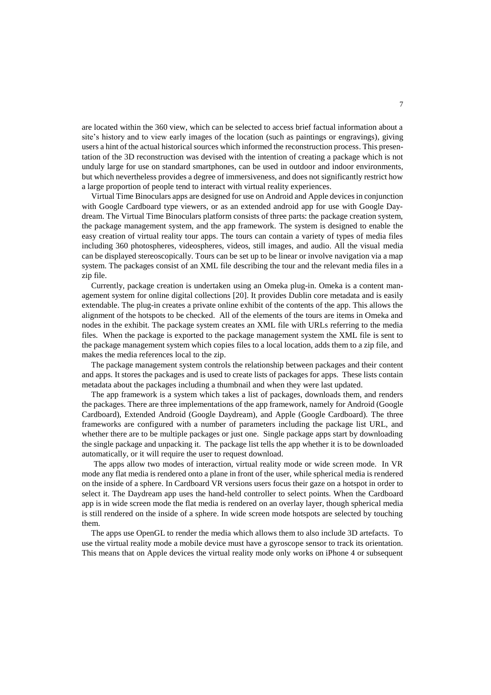are located within the 360 view, which can be selected to access brief factual information about a site's history and to view early images of the location (such as paintings or engravings), giving users a hint of the actual historical sources which informed the reconstruction process. This presentation of the 3D reconstruction was devised with the intention of creating a package which is not unduly large for use on standard smartphones, can be used in outdoor and indoor environments, but which nevertheless provides a degree of immersiveness, and does not significantly restrict how a large proportion of people tend to interact with virtual reality experiences.

Virtual Time Binoculars apps are designed for use on Android and Apple devices in conjunction with Google Cardboard type viewers, or as an extended android app for use with Google Daydream. The Virtual Time Binoculars platform consists of three parts: the package creation system, the package management system, and the app framework. The system is designed to enable the easy creation of virtual reality tour apps. The tours can contain a variety of types of media files including 360 photospheres, videospheres, videos, still images, and audio. All the visual media can be displayed stereoscopically. Tours can be set up to be linear or involve navigation via a map system. The packages consist of an XML file describing the tour and the relevant media files in a zip file.

Currently, package creation is undertaken using an Omeka plug-in. Omeka is a content management system for online digital collections [20]. It provides Dublin core metadata and is easily extendable. The plug-in creates a private online exhibit of the contents of the app. This allows the alignment of the hotspots to be checked. All of the elements of the tours are items in Omeka and nodes in the exhibit. The package system creates an XML file with URLs referring to the media files. When the package is exported to the package management system the XML file is sent to the package management system which copies files to a local location, adds them to a zip file, and makes the media references local to the zip.

The package management system controls the relationship between packages and their content and apps. It stores the packages and is used to create lists of packages for apps. These lists contain metadata about the packages including a thumbnail and when they were last updated.

The app framework is a system which takes a list of packages, downloads them, and renders the packages. There are three implementations of the app framework, namely for Android (Google Cardboard), Extended Android (Google Daydream), and Apple (Google Cardboard). The three frameworks are configured with a number of parameters including the package list URL, and whether there are to be multiple packages or just one. Single package apps start by downloading the single package and unpacking it. The package list tells the app whether it is to be downloaded automatically, or it will require the user to request download.

The apps allow two modes of interaction, virtual reality mode or wide screen mode. In VR mode any flat media is rendered onto a plane in front of the user, while spherical media is rendered on the inside of a sphere. In Cardboard VR versions users focus their gaze on a hotspot in order to select it. The Daydream app uses the hand-held controller to select points. When the Cardboard app is in wide screen mode the flat media is rendered on an overlay layer, though spherical media is still rendered on the inside of a sphere. In wide screen mode hotspots are selected by touching them.

The apps use OpenGL to render the media which allows them to also include 3D artefacts. To use the virtual reality mode a mobile device must have a gyroscope sensor to track its orientation. This means that on Apple devices the virtual reality mode only works on iPhone 4 or subsequent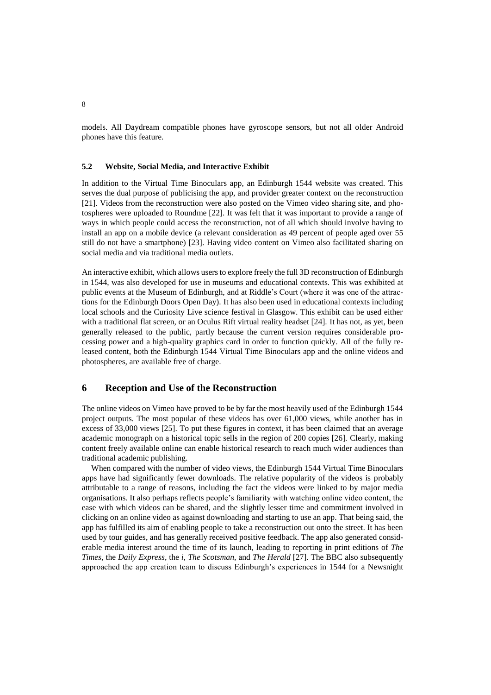models. All Daydream compatible phones have gyroscope sensors, but not all older Android phones have this feature.

## **5.2 Website, Social Media, and Interactive Exhibit**

In addition to the Virtual Time Binoculars app, an Edinburgh 1544 website was created. This serves the dual purpose of publicising the app, and provider greater context on the reconstruction [21]. Videos from the reconstruction were also posted on the Vimeo video sharing site, and photospheres were uploaded to Roundme [22]. It was felt that it was important to provide a range of ways in which people could access the reconstruction, not of all which should involve having to install an app on a mobile device (a relevant consideration as 49 percent of people aged over 55 still do not have a smartphone) [23]. Having video content on Vimeo also facilitated sharing on social media and via traditional media outlets.

An interactive exhibit, which allows users to explore freely the full 3D reconstruction of Edinburgh in 1544, was also developed for use in museums and educational contexts. This was exhibited at public events at the Museum of Edinburgh, and at Riddle's Court (where it was one of the attractions for the Edinburgh Doors Open Day). It has also been used in educational contexts including local schools and the Curiosity Live science festival in Glasgow. This exhibit can be used either with a traditional flat screen, or an Oculus Rift virtual reality headset [24]. It has not, as yet, been generally released to the public, partly because the current version requires considerable processing power and a high-quality graphics card in order to function quickly. All of the fully released content, both the Edinburgh 1544 Virtual Time Binoculars app and the online videos and photospheres, are available free of charge.

## **6 Reception and Use of the Reconstruction**

The online videos on Vimeo have proved to be by far the most heavily used of the Edinburgh 1544 project outputs. The most popular of these videos has over 61,000 views, while another has in excess of 33,000 views [25]. To put these figures in context, it has been claimed that an average academic monograph on a historical topic sells in the region of 200 copies [26]. Clearly, making content freely available online can enable historical research to reach much wider audiences than traditional academic publishing.

When compared with the number of video views, the Edinburgh 1544 Virtual Time Binoculars apps have had significantly fewer downloads. The relative popularity of the videos is probably attributable to a range of reasons, including the fact the videos were linked to by major media organisations. It also perhaps reflects people's familiarity with watching online video content, the ease with which videos can be shared, and the slightly lesser time and commitment involved in clicking on an online video as against downloading and starting to use an app. That being said, the app has fulfilled its aim of enabling people to take a reconstruction out onto the street. It has been used by tour guides, and has generally received positive feedback. The app also generated considerable media interest around the time of its launch, leading to reporting in print editions of *The Times*, the *Daily Express*, the *i*, *The Scotsman*, and *The Herald* [27]. The BBC also subsequently approached the app creation team to discuss Edinburgh's experiences in 1544 for a Newsnight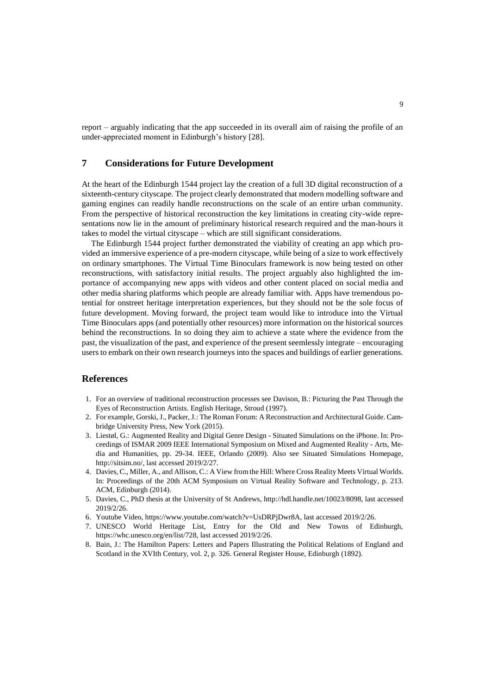report – arguably indicating that the app succeeded in its overall aim of raising the profile of an under-appreciated moment in Edinburgh's history [28].

## **7 Considerations for Future Development**

At the heart of the Edinburgh 1544 project lay the creation of a full 3D digital reconstruction of a sixteenth-century cityscape. The project clearly demonstrated that modern modelling software and gaming engines can readily handle reconstructions on the scale of an entire urban community. From the perspective of historical reconstruction the key limitations in creating city-wide representations now lie in the amount of preliminary historical research required and the man-hours it takes to model the virtual cityscape – which are still significant considerations.

The Edinburgh 1544 project further demonstrated the viability of creating an app which provided an immersive experience of a pre-modern cityscape, while being of a size to work effectively on ordinary smartphones. The Virtual Time Binoculars framework is now being tested on other reconstructions, with satisfactory initial results. The project arguably also highlighted the importance of accompanying new apps with videos and other content placed on social media and other media sharing platforms which people are already familiar with. Apps have tremendous potential for onstreet heritage interpretation experiences, but they should not be the sole focus of future development. Moving forward, the project team would like to introduce into the Virtual Time Binoculars apps (and potentially other resources) more information on the historical sources behind the reconstructions. In so doing they aim to achieve a state where the evidence from the past, the visualization of the past, and experience of the present seemlessly integrate – encouraging users to embark on their own research journeys into the spaces and buildings of earlier generations.

## **References**

- 1. For an overview of traditional reconstruction processes see Davison, B.: Picturing the Past Through the Eyes of Reconstruction Artists. English Heritage, Stroud (1997).
- 2. For example, Gorski, J., Packer, J.: The Roman Forum: A Reconstruction and Architectural Guide. Cambridge University Press, New York (2015).
- 3. Liestøl, G.: Augmented Reality and Digital Genre Design Situated Simulations on the iPhone. In: Proceedings of ISMAR 2009 IEEE International Symposium on Mixed and Augmented Reality - Arts, Media and Humanities, pp. 29-34. IEEE, Orlando (2009). Also see Situated Simulations Homepage, [http://sitsim.no/,](http://sitsim.no/) last accessed 2019/2/27.
- 4. Davies, C., Miller, A., and Allison, C.: A View from the Hill: Where Cross Reality Meets Virtual Worlds. In: Proceedings of the 20th ACM Symposium on Virtual Reality Software and Technology, p. 213. ACM, Edinburgh (2014).
- 5. Davies, C., PhD thesis at the University of St Andrews, [http://hdl.handle.net/10023/8098,](http://hdl.handle.net/10023/8098) last accessed 2019/2/26.
- 6. Youtube Video, [https://www.youtube.com/watch?v=UsDRPjDwr8A,](https://www.youtube.com/watch?v=UsDRPjDwr8A) last accessed 2019/2/26.
- 7. UNESCO World Heritage List, Entry for the Old and New Towns of Edinburgh, [https://whc.unesco.org/en/list/728,](https://whc.unesco.org/en/list/728) last accessed 2019/2/26.
- 8. Bain, J.: The Hamilton Papers: Letters and Papers Illustrating the Political Relations of England and Scotland in the XVIth Century, vol. 2, p. 326. General Register House, Edinburgh (1892).